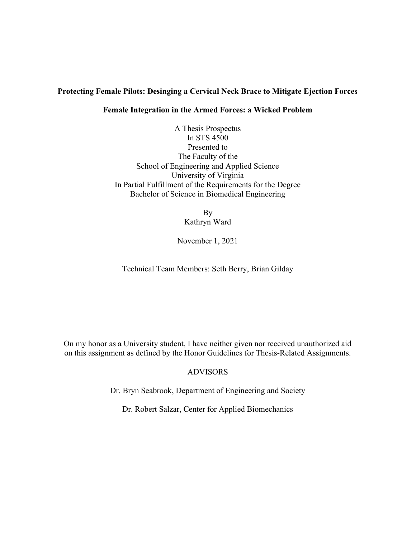# Protecting Female Pilots: Desinging a Cervical Neck Brace to Mitigate Ejection Forces

#### Female Integration in the Armed Forces: a Wicked Problem

A Thesis Prospectus In STS 4500 Presented to The Faculty of the School of Engineering and Applied Science University of Virginia In Partial Fulfillment of the Requirements for the Degree Bachelor of Science in Biomedical Engineering

> By Kathryn Ward

November 1, 2021

Technical Team Members: Seth Berry, Brian Gilday

On my honor as a University student, I have neither given nor received unauthorized aid on this assignment as defined by the Honor Guidelines for Thesis-Related Assignments.

## ADVISORS

Dr. Bryn Seabrook, Department of Engineering and Society

Dr. Robert Salzar, Center for Applied Biomechanics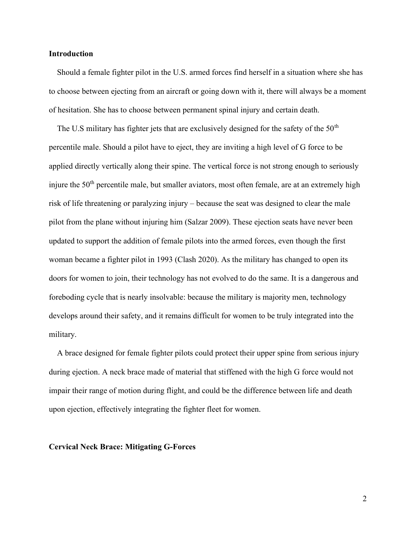#### Introduction

Should a female fighter pilot in the U.S. armed forces find herself in a situation where she has to choose between ejecting from an aircraft or going down with it, there will always be a moment of hesitation. She has to choose between permanent spinal injury and certain death.

The U.S military has fighter jets that are exclusively designed for the safety of the  $50<sup>th</sup>$ percentile male. Should a pilot have to eject, they are inviting a high level of G force to be applied directly vertically along their spine. The vertical force is not strong enough to seriously injure the 50<sup>th</sup> percentile male, but smaller aviators, most often female, are at an extremely high risk of life threatening or paralyzing injury – because the seat was designed to clear the male pilot from the plane without injuring him (Salzar 2009). These ejection seats have never been updated to support the addition of female pilots into the armed forces, even though the first woman became a fighter pilot in 1993 (Clash 2020). As the military has changed to open its doors for women to join, their technology has not evolved to do the same. It is a dangerous and foreboding cycle that is nearly insolvable: because the military is majority men, technology develops around their safety, and it remains difficult for women to be truly integrated into the military.

A brace designed for female fighter pilots could protect their upper spine from serious injury during ejection. A neck brace made of material that stiffened with the high G force would not impair their range of motion during flight, and could be the difference between life and death upon ejection, effectively integrating the fighter fleet for women.

#### Cervical Neck Brace: Mitigating G-Forces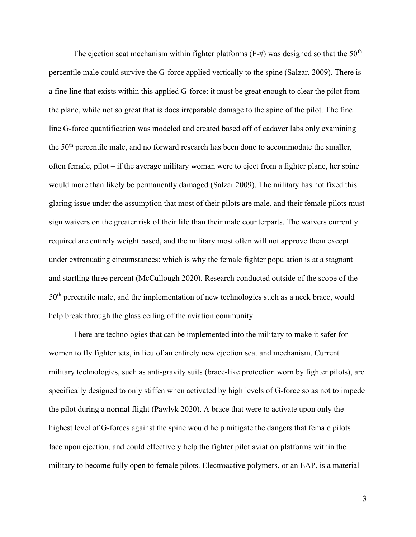The ejection seat mechanism within fighter platforms  $(F-\#)$  was designed so that the 50<sup>th</sup> percentile male could survive the G-force applied vertically to the spine (Salzar, 2009). There is a fine line that exists within this applied G-force: it must be great enough to clear the pilot from the plane, while not so great that is does irreparable damage to the spine of the pilot. The fine line G-force quantification was modeled and created based off of cadaver labs only examining the  $50<sup>th</sup>$  percentile male, and no forward research has been done to accommodate the smaller, often female, pilot – if the average military woman were to eject from a fighter plane, her spine would more than likely be permanently damaged (Salzar 2009). The military has not fixed this glaring issue under the assumption that most of their pilots are male, and their female pilots must sign waivers on the greater risk of their life than their male counterparts. The waivers currently required are entirely weight based, and the military most often will not approve them except under extrenuating circumstances: which is why the female fighter population is at a stagnant and startling three percent (McCullough 2020). Research conducted outside of the scope of the  $50<sup>th</sup>$  percentile male, and the implementation of new technologies such as a neck brace, would help break through the glass ceiling of the aviation community.

 There are technologies that can be implemented into the military to make it safer for women to fly fighter jets, in lieu of an entirely new ejection seat and mechanism. Current military technologies, such as anti-gravity suits (brace-like protection worn by fighter pilots), are specifically designed to only stiffen when activated by high levels of G-force so as not to impede the pilot during a normal flight (Pawlyk 2020). A brace that were to activate upon only the highest level of G-forces against the spine would help mitigate the dangers that female pilots face upon ejection, and could effectively help the fighter pilot aviation platforms within the military to become fully open to female pilots. Electroactive polymers, or an EAP, is a material

3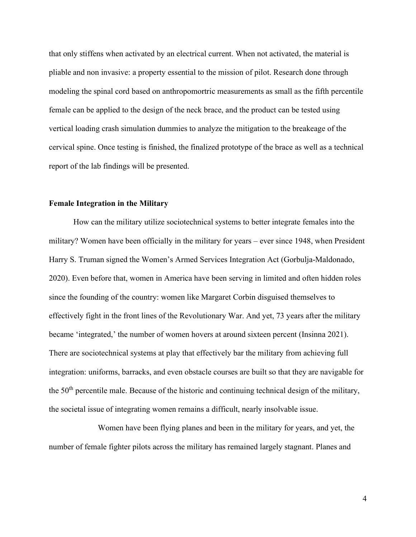that only stiffens when activated by an electrical current. When not activated, the material is pliable and non invasive: a property essential to the mission of pilot. Research done through modeling the spinal cord based on anthropomortric measurements as small as the fifth percentile female can be applied to the design of the neck brace, and the product can be tested using vertical loading crash simulation dummies to analyze the mitigation to the breakeage of the cervical spine. Once testing is finished, the finalized prototype of the brace as well as a technical report of the lab findings will be presented.

#### Female Integration in the Military

 How can the military utilize sociotechnical systems to better integrate females into the military? Women have been officially in the military for years – ever since 1948, when President Harry S. Truman signed the Women's Armed Services Integration Act (Gorbulja-Maldonado, 2020). Even before that, women in America have been serving in limited and often hidden roles since the founding of the country: women like Margaret Corbin disguised themselves to effectively fight in the front lines of the Revolutionary War. And yet, 73 years after the military became 'integrated,' the number of women hovers at around sixteen percent (Insinna 2021). There are sociotechnical systems at play that effectively bar the military from achieving full integration: uniforms, barracks, and even obstacle courses are built so that they are navigable for the  $50<sup>th</sup>$  percentile male. Because of the historic and continuing technical design of the military, the societal issue of integrating women remains a difficult, nearly insolvable issue.

 Women have been flying planes and been in the military for years, and yet, the number of female fighter pilots across the military has remained largely stagnant. Planes and

4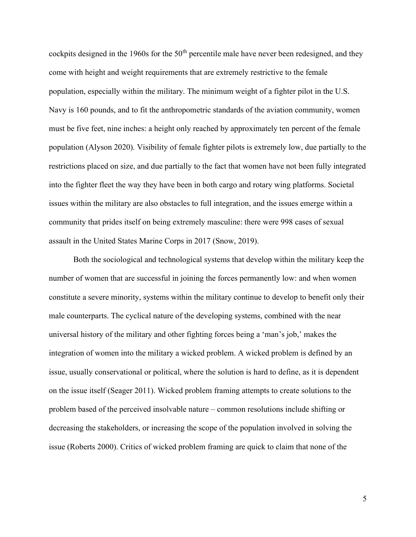cockpits designed in the 1960s for the  $50<sup>th</sup>$  percentile male have never been redesigned, and they come with height and weight requirements that are extremely restrictive to the female population, especially within the military. The minimum weight of a fighter pilot in the U.S. Navy is 160 pounds, and to fit the anthropometric standards of the aviation community, women must be five feet, nine inches: a height only reached by approximately ten percent of the female population (Alyson 2020). Visibility of female fighter pilots is extremely low, due partially to the restrictions placed on size, and due partially to the fact that women have not been fully integrated into the fighter fleet the way they have been in both cargo and rotary wing platforms. Societal issues within the military are also obstacles to full integration, and the issues emerge within a community that prides itself on being extremely masculine: there were 998 cases of sexual assault in the United States Marine Corps in 2017 (Snow, 2019).

Both the sociological and technological systems that develop within the military keep the number of women that are successful in joining the forces permanently low: and when women constitute a severe minority, systems within the military continue to develop to benefit only their male counterparts. The cyclical nature of the developing systems, combined with the near universal history of the military and other fighting forces being a 'man's job,' makes the integration of women into the military a wicked problem. A wicked problem is defined by an issue, usually conservational or political, where the solution is hard to define, as it is dependent on the issue itself (Seager 2011). Wicked problem framing attempts to create solutions to the problem based of the perceived insolvable nature – common resolutions include shifting or decreasing the stakeholders, or increasing the scope of the population involved in solving the issue (Roberts 2000). Critics of wicked problem framing are quick to claim that none of the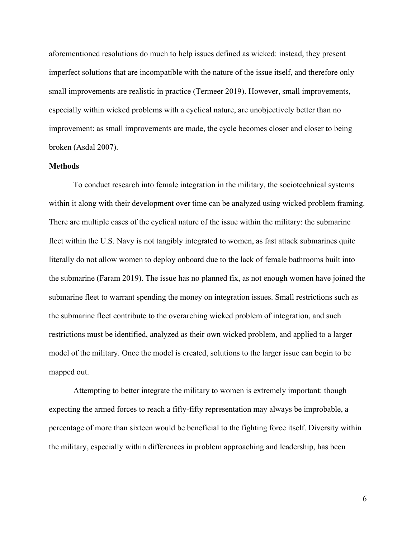aforementioned resolutions do much to help issues defined as wicked: instead, they present imperfect solutions that are incompatible with the nature of the issue itself, and therefore only small improvements are realistic in practice (Termeer 2019). However, small improvements, especially within wicked problems with a cyclical nature, are unobjectively better than no improvement: as small improvements are made, the cycle becomes closer and closer to being broken (Asdal 2007).

#### **Methods**

 To conduct research into female integration in the military, the sociotechnical systems within it along with their development over time can be analyzed using wicked problem framing. There are multiple cases of the cyclical nature of the issue within the military: the submarine fleet within the U.S. Navy is not tangibly integrated to women, as fast attack submarines quite literally do not allow women to deploy onboard due to the lack of female bathrooms built into the submarine (Faram 2019). The issue has no planned fix, as not enough women have joined the submarine fleet to warrant spending the money on integration issues. Small restrictions such as the submarine fleet contribute to the overarching wicked problem of integration, and such restrictions must be identified, analyzed as their own wicked problem, and applied to a larger model of the military. Once the model is created, solutions to the larger issue can begin to be mapped out.

 Attempting to better integrate the military to women is extremely important: though expecting the armed forces to reach a fifty-fifty representation may always be improbable, a percentage of more than sixteen would be beneficial to the fighting force itself. Diversity within the military, especially within differences in problem approaching and leadership, has been

6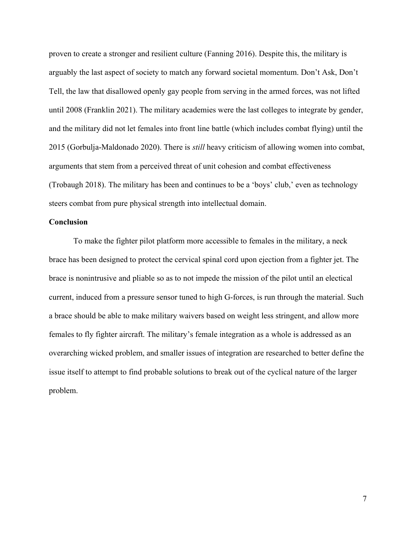proven to create a stronger and resilient culture (Fanning 2016). Despite this, the military is arguably the last aspect of society to match any forward societal momentum. Don't Ask, Don't Tell, the law that disallowed openly gay people from serving in the armed forces, was not lifted until 2008 (Franklin 2021). The military academies were the last colleges to integrate by gender, and the military did not let females into front line battle (which includes combat flying) until the 2015 (Gorbulja-Maldonado 2020). There is still heavy criticism of allowing women into combat, arguments that stem from a perceived threat of unit cohesion and combat effectiveness (Trobaugh 2018). The military has been and continues to be a 'boys' club,' even as technology steers combat from pure physical strength into intellectual domain.

#### **Conclusion**

 To make the fighter pilot platform more accessible to females in the military, a neck brace has been designed to protect the cervical spinal cord upon ejection from a fighter jet. The brace is nonintrusive and pliable so as to not impede the mission of the pilot until an electical current, induced from a pressure sensor tuned to high G-forces, is run through the material. Such a brace should be able to make military waivers based on weight less stringent, and allow more females to fly fighter aircraft. The military's female integration as a whole is addressed as an overarching wicked problem, and smaller issues of integration are researched to better define the issue itself to attempt to find probable solutions to break out of the cyclical nature of the larger problem.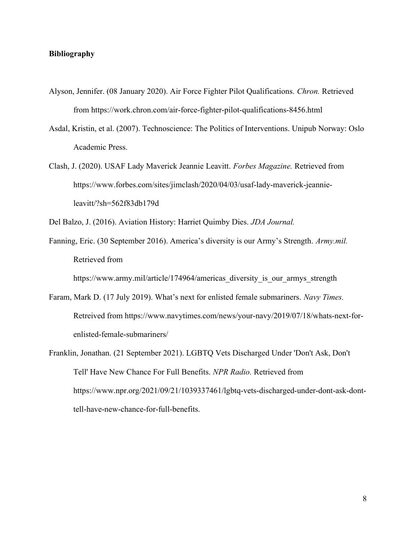### Bibliography

- Alyson, Jennifer. (08 January 2020). Air Force Fighter Pilot Qualifications. Chron. Retrieved from https://work.chron.com/air-force-fighter-pilot-qualifications-8456.html
- Asdal, Kristin, et al. (2007). Technoscience: The Politics of Interventions. Unipub Norway: Oslo Academic Press.
- Clash, J. (2020). USAF Lady Maverick Jeannie Leavitt. Forbes Magazine. Retrieved from https://www.forbes.com/sites/jimclash/2020/04/03/usaf-lady-maverick-jeannieleavitt/?sh=562f83db179d

Del Balzo, J. (2016). Aviation History: Harriet Quimby Dies. JDA Journal.

Fanning, Eric. (30 September 2016). America's diversity is our Army's Strength. Army.mil. Retrieved from

https://www.army.mil/article/174964/americas diversity is our armys strength

- Faram, Mark D. (17 July 2019). What's next for enlisted female submariners. Navy Times. Retreived from https://www.navytimes.com/news/your-navy/2019/07/18/whats-next-forenlisted-female-submariners/
- Franklin, Jonathan. (21 September 2021). LGBTQ Vets Discharged Under 'Don't Ask, Don't Tell' Have New Chance For Full Benefits. NPR Radio. Retrieved from https://www.npr.org/2021/09/21/1039337461/lgbtq-vets-discharged-under-dont-ask-donttell-have-new-chance-for-full-benefits.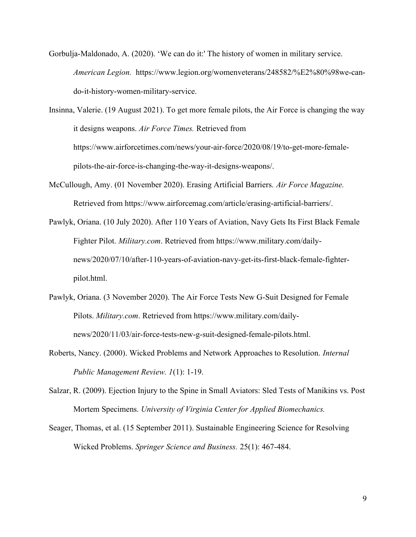Gorbulja-Maldonado, A. (2020). 'We can do it:' The history of women in military service. American Legion. https://www.legion.org/womenveterans/248582/%E2%80%98we-cando-it-history-women-military-service.

Insinna, Valerie. (19 August 2021). To get more female pilots, the Air Force is changing the way it designs weapons. Air Force Times. Retrieved from https://www.airforcetimes.com/news/your-air-force/2020/08/19/to-get-more-femalepilots-the-air-force-is-changing-the-way-it-designs-weapons/.

- McCullough, Amy. (01 November 2020). Erasing Artificial Barriers. Air Force Magazine. Retrieved from https://www.airforcemag.com/article/erasing-artificial-barriers/.
- Pawlyk, Oriana. (10 July 2020). After 110 Years of Aviation, Navy Gets Its First Black Female Fighter Pilot. Military.com. Retrieved from https://www.military.com/dailynews/2020/07/10/after-110-years-of-aviation-navy-get-its-first-black-female-fighterpilot.html.
- Pawlyk, Oriana. (3 November 2020). The Air Force Tests New G-Suit Designed for Female Pilots. Military.com. Retrieved from https://www.military.com/dailynews/2020/11/03/air-force-tests-new-g-suit-designed-female-pilots.html.
- Roberts, Nancy. (2000). Wicked Problems and Network Approaches to Resolution. Internal Public Management Review. 1(1): 1-19.
- Salzar, R. (2009). Ejection Injury to the Spine in Small Aviators: Sled Tests of Manikins vs. Post Mortem Specimens. University of Virginia Center for Applied Biomechanics.
- Seager, Thomas, et al. (15 September 2011). Sustainable Engineering Science for Resolving Wicked Problems. Springer Science and Business. 25(1): 467-484.